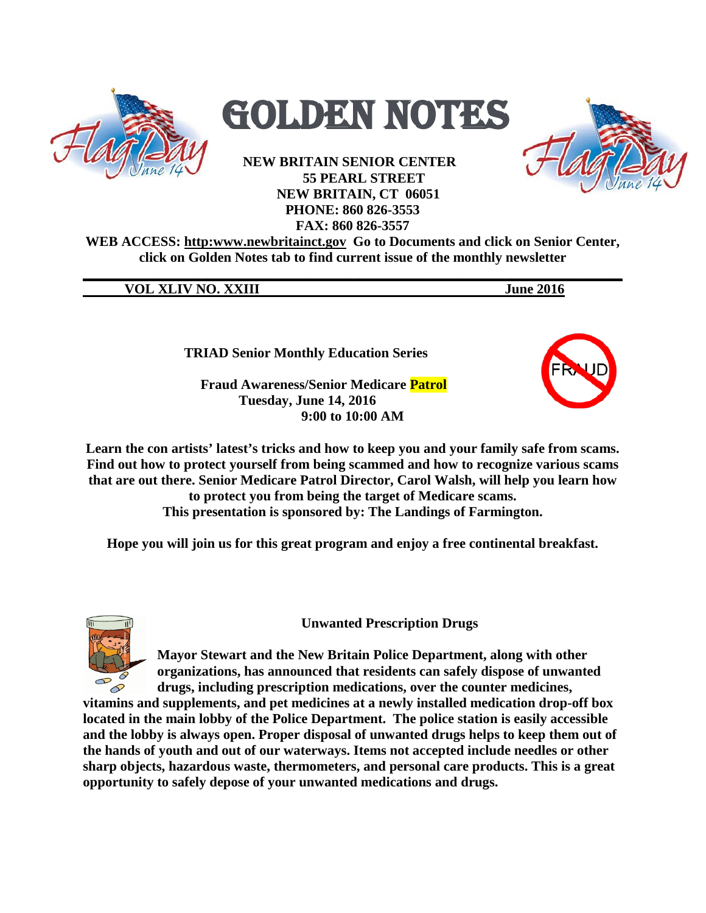



**NEW BRITAIN SENIOR CENTER 55 PEARL STREET NEW BRITAIN, CT 06051 PHONE: 860 826-3553 FAX: 860 826-3557**



**WEB ACCESS: http:www.newbritainct.gov Go to Documents and click on Senior Center, click on Golden Notes tab to find current issue of the monthly newsletter** 

**\_\_\_\_\_\_\_\_\_\_\_\_\_\_\_\_\_\_\_\_\_\_\_\_\_\_\_\_\_\_\_\_\_\_\_\_\_\_\_\_\_\_\_\_\_\_\_\_\_\_\_\_\_\_\_\_\_\_\_\_\_\_\_\_\_\_\_\_\_\_\_\_\_\_\_\_\_\_**

**VOL XLIV NO. XXIII** June 2016

**TRIAD Senior Monthly Education Series**

 **Fraud Awareness/Senior Medicare Patrol Tuesday, June 14, 2016 9:00 to 10:00 AM** 



**Learn the con artists' latest's tricks and how to keep you and your family safe from scams. Find out how to protect yourself from being scammed and how to recognize various scams that are out there. Senior Medicare Patrol Director, Carol Walsh, will help you learn how to protect you from being the target of Medicare scams. This presentation is sponsored by: The Landings of Farmington.**

**Hope you will join us for this great program and enjoy a free continental breakfast.** 



**Unwanted Prescription Drugs**

**Mayor Stewart and the New Britain Police Department, along with other organizations, has announced that residents can safely dispose of unwanted drugs, including prescription medications, over the counter medicines,** 

**vitamins and supplements, and pet medicines at a newly installed medication drop-off box located in the main lobby of the Police Department. The police station is easily accessible and the lobby is always open. Proper disposal of unwanted drugs helps to keep them out of the hands of youth and out of our waterways. Items not accepted include needles or other sharp objects, hazardous waste, thermometers, and personal care products. This is a great opportunity to safely depose of your unwanted medications and drugs.**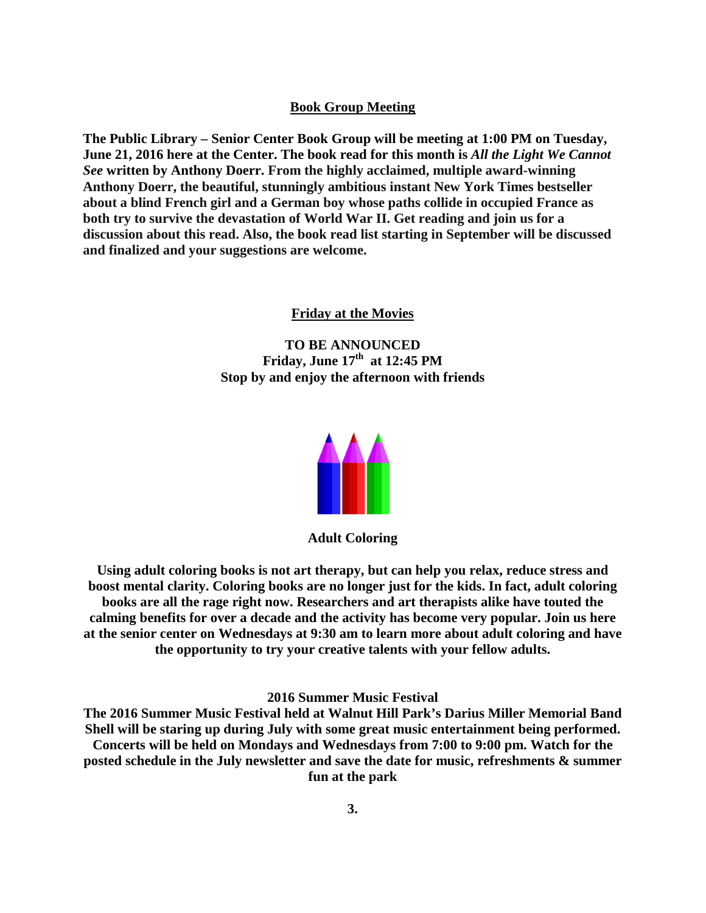#### **Book Group Meeting**

**The Public Library – Senior Center Book Group will be meeting at 1:00 PM on Tuesday, June 21, 2016 here at the Center. The book read for this month is** *All the Light We Cannot See* **written by Anthony Doerr. From the highly acclaimed, multiple award-winning Anthony Doerr, the beautiful, stunningly ambitious instant New York Times bestseller about a blind French girl and a German boy whose paths collide in occupied France as both try to survive the devastation of World War II. Get reading and join us for a discussion about this read. Also, the book read list starting in September will be discussed and finalized and your suggestions are welcome.** 

#### **Friday at the Movies**

**TO BE ANNOUNCED Friday, June 17<sup>th</sup> at 12:45 PM Stop by and enjoy the afternoon with friends**



**Adult Coloring**

**Using adult coloring books is not art therapy, but can help you relax, reduce stress and boost mental clarity. Coloring books are no longer just for the kids. In fact, adult coloring books are all the rage right now. Researchers and art therapists alike have touted the calming benefits for over a decade and the activity has become very popular. Join us here at the senior center on Wednesdays at 9:30 am to learn more about adult coloring and have the opportunity to try your creative talents with your fellow adults.** 

#### **2016 Summer Music Festival**

**The 2016 Summer Music Festival held at Walnut Hill Park's Darius Miller Memorial Band Shell will be staring up during July with some great music entertainment being performed. Concerts will be held on Mondays and Wednesdays from 7:00 to 9:00 pm. Watch for the posted schedule in the July newsletter and save the date for music, refreshments & summer fun at the park**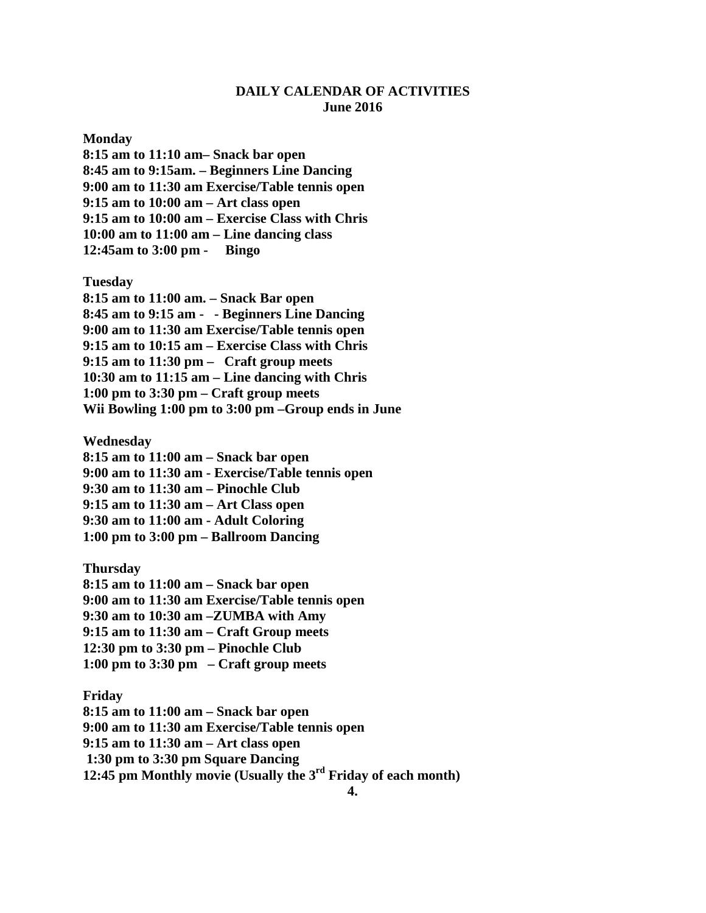## **DAILY CALENDAR OF ACTIVITIES June 2016**

**Monday**

**8:15 am to 11:10 am– Snack bar open 8:45 am to 9:15am. – Beginners Line Dancing 9:00 am to 11:30 am Exercise/Table tennis open 9:15 am to 10:00 am – Art class open 9:15 am to 10:00 am – Exercise Class with Chris 10:00 am to 11:00 am – Line dancing class 12:45am to 3:00 pm - Bingo**

**Tuesday**

**8:15 am to 11:00 am. – Snack Bar open 8:45 am to 9:15 am - - Beginners Line Dancing 9:00 am to 11:30 am Exercise/Table tennis open 9:15 am to 10:15 am – Exercise Class with Chris 9:15 am to 11:30 pm – Craft group meets 10:30 am to 11:15 am – Line dancing with Chris 1:00 pm to 3:30 pm – Craft group meets Wii Bowling 1:00 pm to 3:00 pm –Group ends in June**

**Wednesday**

**8:15 am to 11:00 am – Snack bar open 9:00 am to 11:30 am - Exercise/Table tennis open 9:30 am to 11:30 am – Pinochle Club 9:15 am to 11:30 am – Art Class open 9:30 am to 11:00 am - Adult Coloring 1:00 pm to 3:00 pm – Ballroom Dancing**

**Thursday 8:15 am to 11:00 am – Snack bar open 9:00 am to 11:30 am Exercise/Table tennis open 9:30 am to 10:30 am –ZUMBA with Amy 9:15 am to 11:30 am – Craft Group meets 12:30 pm to 3:30 pm – Pinochle Club 1:00 pm to 3:30 pm – Craft group meets**

**Friday**

**8:15 am to 11:00 am – Snack bar open 9:00 am to 11:30 am Exercise/Table tennis open 9:15 am to 11:30 am – Art class open 1:30 pm to 3:30 pm Square Dancing 12:45 pm Monthly movie (Usually the 3rd Friday of each month)**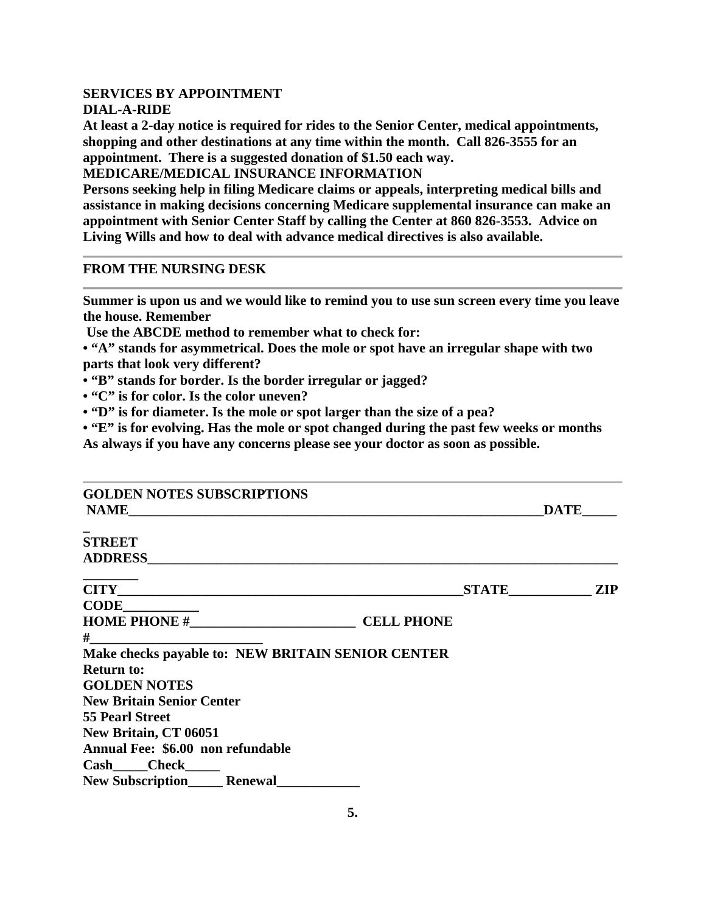### **SERVICES BY APPOINTMENT DIAL-A-RIDE**

**At least a 2-day notice is required for rides to the Senior Center, medical appointments, shopping and other destinations at any time within the month. Call 826-3555 for an appointment. There is a suggested donation of \$1.50 each way.**

**MEDICARE/MEDICAL INSURANCE INFORMATION**

**Persons seeking help in filing Medicare claims or appeals, interpreting medical bills and assistance in making decisions concerning Medicare supplemental insurance can make an appointment with Senior Center Staff by calling the Center at 860 826-3553. Advice on Living Wills and how to deal with advance medical directives is also available.**

## **FROM THE NURSING DESK**

**Summer is upon us and we would like to remind you to use sun screen every time you leave the house. Remember** 

**Use the ABCDE method to remember what to check for:**

**• "A" stands for asymmetrical. Does the mole or spot have an irregular shape with two parts that look very different?**

- **"B" stands for border. Is the border irregular or jagged?**
- **"C" is for color. Is the color uneven?**

**• "D" is for diameter. Is the mole or spot larger than the size of a pea?**

**• "E" is for evolving. Has the mole or spot changed during the past few weeks or months As always if you have any concerns please see your doctor as soon as possible.**

| <b>GOLDEN NOTES SUBSCRIPTIONS</b>                      | <b>DATE</b>         |
|--------------------------------------------------------|---------------------|
| <b>STREET</b>                                          |                     |
|                                                        |                     |
|                                                        | <b>STATE</b><br>ZIP |
| <b>CODE</b>                                            |                     |
|                                                        |                     |
| $#$ and $#$                                            |                     |
| Make checks payable to: NEW BRITAIN SENIOR CENTER      |                     |
| <b>Return to:</b>                                      |                     |
| <b>GOLDEN NOTES</b>                                    |                     |
| <b>New Britain Senior Center</b>                       |                     |
| <b>55 Pearl Street</b>                                 |                     |
| New Britain, CT 06051                                  |                     |
| Annual Fee: \$6.00 non refundable                      |                     |
| Cash Check                                             |                     |
| New Subscription<br><u>New Subscription</u><br>Renewal |                     |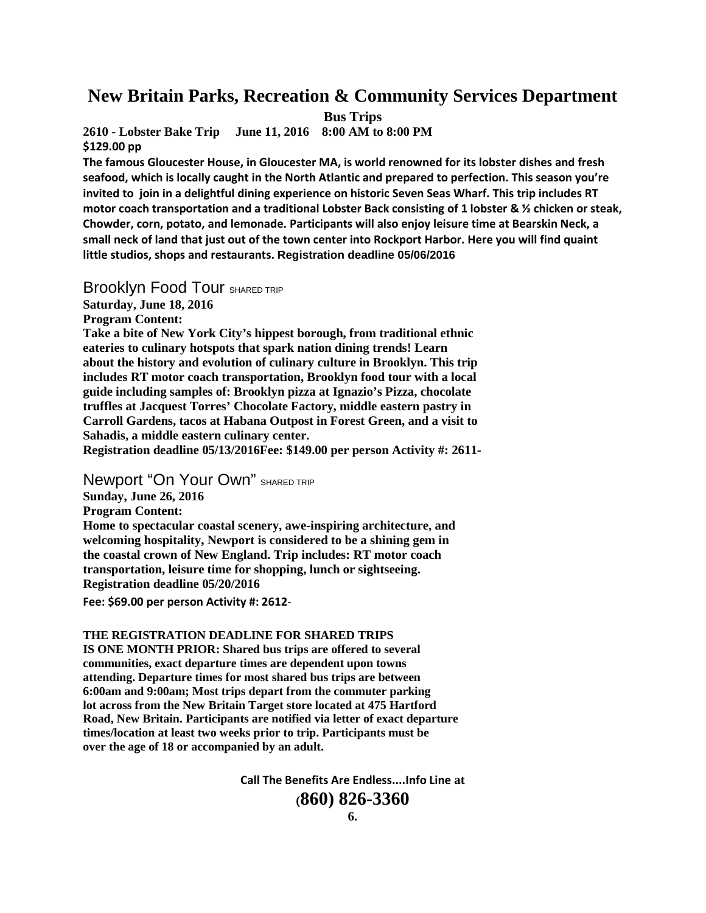# **New Britain Parks, Recreation & Community Services Department**

**Bus Trips**

**2610 - Lobster Bake Trip June 11, 2016 8:00 AM to 8:00 PM \$129.00 pp**

**The famous Gloucester House, in Gloucester MA, is world renowned for its lobster dishes and fresh seafood, which is locally caught in the North Atlantic and prepared to perfection. This season you're invited to join in a delightful dining experience on historic Seven Seas Wharf. This trip includes RT motor coach transportation and a traditional Lobster Back consisting of 1 lobster & ½ chicken or steak, Chowder, corn, potato, and lemonade. Participants will also enjoy leisure time at Bearskin Neck, a small neck of land that just out of the town center into Rockport Harbor. Here you will find quaint little studios, shops and restaurants. Registration deadline 05/06/2016**

Brooklyn Food Tour SHARED TRIP **Saturday, June 18, 2016 Program Content: Take a bite of New York City's hippest borough, from traditional ethnic eateries to culinary hotspots that spark nation dining trends! Learn about the history and evolution of culinary culture in Brooklyn. This trip includes RT motor coach transportation, Brooklyn food tour with a local guide including samples of: Brooklyn pizza at Ignazio's Pizza, chocolate truffles at Jacquest Torres' Chocolate Factory, middle eastern pastry in Carroll Gardens, tacos at Habana Outpost in Forest Green, and a visit to Sahadis, a middle eastern culinary center.**

**Registration deadline 05/13/2016Fee: \$149.00 per person Activity #: 2611-**

**Newport "On Your Own"** SHARED TRIP

**Sunday, June 26, 2016**

**Program Content:**

**Home to spectacular coastal scenery, awe-inspiring architecture, and welcoming hospitality, Newport is considered to be a shining gem in the coastal crown of New England. Trip includes: RT motor coach transportation, leisure time for shopping, lunch or sightseeing. Registration deadline 05/20/2016**

Fee: \$69.00 per person Activity #: 2612-

**THE REGISTRATION DEADLINE FOR SHARED TRIPS**

**IS ONE MONTH PRIOR: Shared bus trips are offered to several communities, exact departure times are dependent upon towns attending. Departure times for most shared bus trips are between 6:00am and 9:00am; Most trips depart from the commuter parking lot across from the New Britain Target store located at 475 Hartford Road, New Britain. Participants are notified via letter of exact departure times/location at least two weeks prior to trip. Participants must be over the age of 18 or accompanied by an adult.**

**Call The Benefits Are Endless....Info Line at**

**(860) 826-3360**